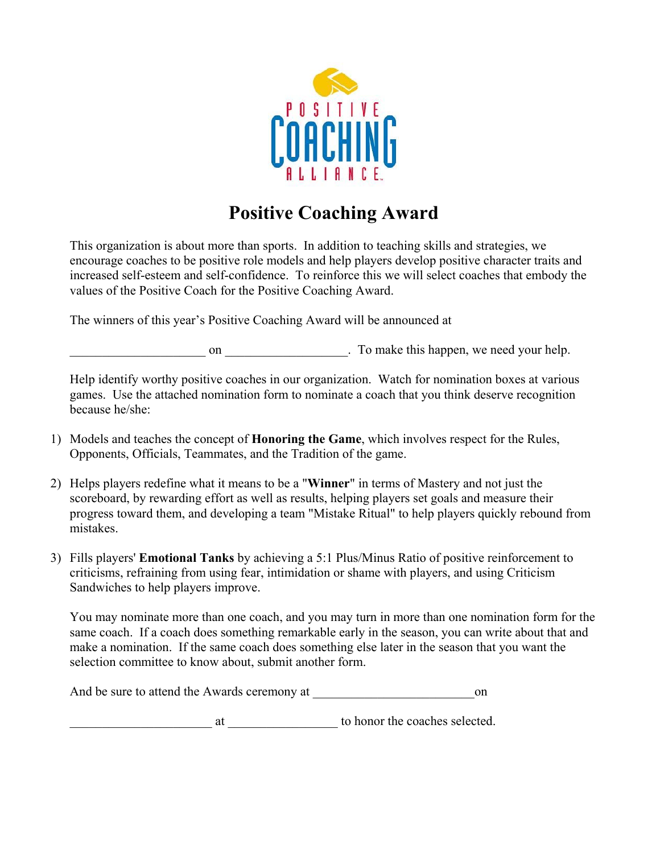

## **Positive Coaching Award**

This organization is about more than sports. In addition to teaching skills and strategies, we encourage coaches to be positive role models and help players develop positive character traits and increased self-esteem and self-confidence. To reinforce this we will select coaches that embody the values of the Positive Coach for the Positive Coaching Award.

The winners of this year's Positive Coaching Award will be announced at

on all the same on  $\Box$  on  $\Box$  on  $\Box$  on  $\Box$  on  $\Box$  on  $\Box$  on  $\Box$  on  $\Box$  on  $\Box$  on  $\Box$  on  $\Box$  on  $\Box$  on  $\Box$  on  $\Box$  on  $\Box$  on  $\Box$  on  $\Box$  on  $\Box$  on  $\Box$  on  $\Box$  on  $\Box$  on  $\Box$  on  $\Box$  on  $\Box$  on  $\Box$  on  $\Box$ 

Help identify worthy positive coaches in our organization. Watch for nomination boxes at various games. Use the attached nomination form to nominate a coach that you think deserve recognition because he/she:

- 1) Models and teaches the concept of **Honoring the Game**, which involves respect for the Rules, Opponents, Officials, Teammates, and the Tradition of the game.
- 2) Helps players redefine what it means to be a "**Winner**" in terms of Mastery and not just the scoreboard, by rewarding effort as well as results, helping players set goals and measure their progress toward them, and developing a team "Mistake Ritual" to help players quickly rebound from mistakes.
- 3) Fills players' **Emotional Tanks** by achieving a 5:1 Plus/Minus Ratio of positive reinforcement to criticisms, refraining from using fear, intimidation or shame with players, and using Criticism Sandwiches to help players improve.

You may nominate more than one coach, and you may turn in more than one nomination form for the same coach. If a coach does something remarkable early in the season, you can write about that and make a nomination. If the same coach does something else later in the season that you want the selection committee to know about, submit another form.

And be sure to attend the Awards ceremony at  $\qquad \qquad$  on

at to honor the coaches selected.